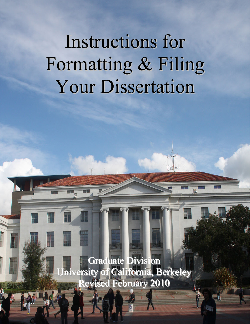# Instructions for Formatting & Filing Your Dissertation

Graduate Division University of California, Berkeley Revised February 2010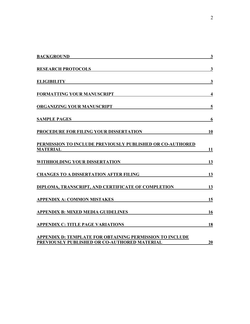| <b>BACKGROUND</b>                                                                                        | $\overline{\mathbf{3}}$ |
|----------------------------------------------------------------------------------------------------------|-------------------------|
| <b>RESEARCH PROTOCOLS</b>                                                                                | $\overline{\mathbf{3}}$ |
| <b>ELIGIBILITY</b>                                                                                       | $\mathbf{3}$            |
| <b>FORMATTING YOUR MANUSCRIPT</b>                                                                        | $\overline{\mathbf{4}}$ |
| ORGANIZING YOUR MANUSCRIPT                                                                               | 5                       |
| <b>SAMPLE PAGES</b>                                                                                      | 6                       |
| PROCEDURE FOR FILING YOUR DISSERTATION                                                                   | 10                      |
| <b>PERMISSION TO INCLUDE PREVIOUSLY PUBLISHED OR CO-AUTHORED</b><br><b>MATERIAL</b>                      | 11                      |
| WITHHOLDING YOUR DISSERTATION                                                                            | 13                      |
| <b>CHANGES TO A DISSERTATION AFTER FILING</b>                                                            | 13                      |
| DIPLOMA, TRANSCRIPT, AND CERTIFICATE OF COMPLETION                                                       | 13                      |
| <b>APPENDIX A: COMMON MISTAKES</b>                                                                       | 15                      |
| <b>APPENDIX B: MIXED MEDIA GUIDELINES</b>                                                                | 16                      |
| <b>APPENDIX C: TITLE PAGE VARIATIONS</b>                                                                 | 18                      |
| APPENDIX D: TEMPLATE FOR OBTAINING PERMISSION TO INCLUDE<br>PREVIOUSLY PUBLISHED OR CO-AUTHORED MATERIAL | 20                      |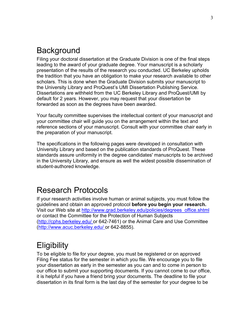# <span id="page-2-0"></span>**Background**

Filing your doctoral dissertation at the Graduate Division is one of the final steps leading to the award of your graduate degree. Your manuscript is a scholarly presentation of the results of the research you conducted. UC Berkeley upholds the tradition that you have an obligation to make your research available to other scholars. This is done when the Graduate Division submits your manuscript to the University Library and ProQuest's UMI Dissertation Publishing Service. Dissertations are withheld from the UC Berkeley Library and ProQuest/UMI by default for 2 years. However, you may request that your dissertation be forwarded as soon as the degrees have been awarded.

Your faculty committee supervises the intellectual content of your manuscript and your committee chair will guide you on the arrangement within the text and reference sections of your manuscript. Consult with your committee chair early in the preparation of your manuscript.

The specifications in the following pages were developed in consultation with University Library and based on the publication standards of ProQuest. These standards assure uniformity in the degree candidates' manuscripts to be archived in the University Library, and ensure as well the widest possible dissemination of student-authored knowledge.

# Research Protocols

If your research activities involve human or animal subjects, you must follow the guidelines and obtain an approved protocol **before you begin your research.**  Visit our Web site at http://www.grad.berkeley.edu/policies/degrees\_office.shtml or contact the Committee for the Protection of Human Subjects (http://cphs.berkeley.edu/ or 642-7461) or the Animal Care and Use Committee (http://www.acuc.berkeley.edu/ or 642-8855).

# **Eligibility**

To be eligible to file for your degree, you must be registered or on approved Filing Fee status for the semester in which you file. We encourage you to file your dissertation as early in the semester as you can and to come in person to our office to submit your supporting documents. If you cannot come to our office, it is helpful if you have a friend bring your documents. The deadline to file your dissertation in its final form is the last day of the semester for your degree to be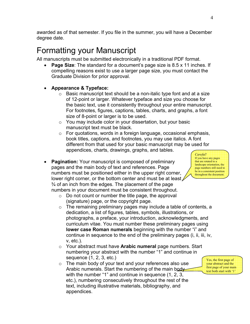<span id="page-3-0"></span>awarded as of that semester. If you file in the summer, you will have a December degree date.

# Formatting your Manuscript

All manuscripts must be submitted electronically in a traditional PDF format.

- **Page Size:** The standard for a document's page size is 8.5 x 11 inches. If compelling reasons exist to use a larger page size, you must contact the Graduate Division for prior approval.
- **Appearance & Typeface:** 
	- $\circ$  Basic manuscript text should be a non-italic type font and at a size of 12-point or larger. Whatever typeface and size you choose for the basic text, use it consistently throughout your entire manuscript. For footnotes, figures, captions, tables, charts, and graphs, a font size of 8-point or larger is to be used.
	- $\circ$  You may include color in your dissertation, but your basic manuscript text must be black.
	- o For quotations, words in a foreign language, occasional emphasis, book titles, captions, and footnotes, you may use italics. A font different from that used for your basic manuscript may be used for appendices, charts, drawings, graphs, and tables.
- **Pagination:** Your manuscript is composed of preliminary pages and the main body of text and references. Page numbers must be positioned either in the upper right corner, lower right corner, or the bottom center and must be at least  $\angle$ ¾ of an inch from the edges. The placement of the page numbers in your document must be consistent throughout.
	- o Do not count or number the title page, the approval (signature) page, or the copyright page.
	- $\circ$  The remaining preliminary pages may include a table of contents, a dedication, a list of figures, tables, symbols, illustrations, or photographs, a preface, your introduction, acknowledgments, and curriculum vitae. You must number these preliminary pages using **lower case Roman numerals** beginning with the number "i" and continue in sequence to the end of the preliminary pages (i, ii, iii, iv, v, etc.).
	- o Your abstract must have **Arabic numeral** page numbers. Start numbering your abstract with the number "1" and continue in sequence (1, 2, 3, etc.)
	- $\circ$  The main body of your text and your references also use Arabic numerals. Start the numbering of the main bodywith the number "1" and continue in sequence (1, 2, 3, etc.), numbering consecutively throughout the rest of the text, including illustrative materials, bibliography, and appendices.



*Careful!*  If you have any pages that are rotated to a landscape orientation, the page numbers still need to be in a consistent position throughout the document.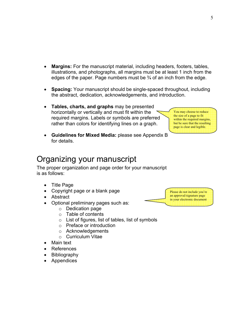- <span id="page-4-0"></span>• **Margins:** For the manuscript material, including headers, footers, tables, illustrations, and photographs, all margins must be at least 1 inch from the edges of the paper. Page numbers must be  $\frac{3}{4}$  of an inch from the edge.
- **Spacing:** Your manuscript should be single-spaced throughout, including the abstract, dedication, acknowledgements, and introduction.
- **Tables, charts, and graphs** may be presented horizontally or vertically and must fit within the required margins. Labels or symbols are preferred rather than colors for identifying lines on a graph.

You may choose to reduce the size of a page to fit within the required margins, but be sure that the resulting page is clear and legible.

• **Guidelines for Mixed Media:** please see Appendix B for details.

# Organizing your manuscript

The proper organization and page order for your manuscript is as follows:

- Title Page
- Copyright page or a blank page
- Abstract
- Optional preliminary pages such as:
	- o Dedication page
	- o Table of contents
	- $\circ$  List of figures, list of tables, list of symbols
	- o Preface or introduction
	- o Acknowledgements
	- o Curriculum Vitae
- Main text
- **References**
- Bibliography
- Appendices

Please do not include you're an approval/signature page in your electronic document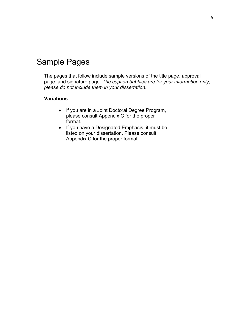# <span id="page-5-0"></span>Sample Pages

The pages that follow include sample versions of the title page, approval page, and signature page. *The caption bubbles are for your information only; please do not include them in your dissertation.* 

#### **Variations**

- If you are in a Joint Doctoral Degree Program, please consult Appendix C for the proper format.
- If you have a Designated Emphasis, it must be listed on your dissertation. Please consult Appendix C for the proper format.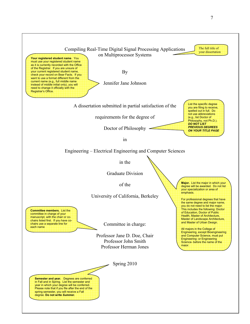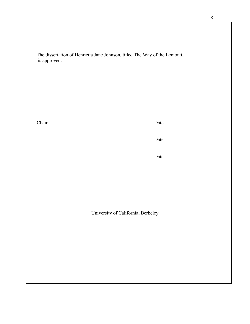| Chair                              |                                                                      |                                                                                                                      | Date |                                                |  |
|------------------------------------|----------------------------------------------------------------------|----------------------------------------------------------------------------------------------------------------------|------|------------------------------------------------|--|
|                                    |                                                                      | <u> 1989 - Johann John Stein, markin film ar yn y brenin y brenin y brenin y brenin y brenin y brenin y brenin y</u> | Date | <u> The Communication of the Communication</u> |  |
|                                    | <u> 1989 - Johann Barn, mars an t-Amerikaansk politiker (* 1958)</u> |                                                                                                                      | Date |                                                |  |
|                                    |                                                                      |                                                                                                                      |      |                                                |  |
|                                    |                                                                      |                                                                                                                      |      |                                                |  |
|                                    |                                                                      |                                                                                                                      |      |                                                |  |
| University of California, Berkeley |                                                                      |                                                                                                                      |      |                                                |  |
|                                    |                                                                      |                                                                                                                      |      |                                                |  |

 $\overline{\phantom{a}}$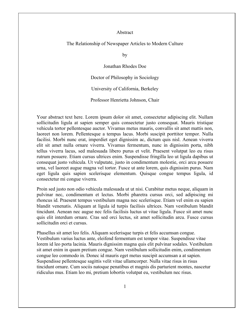#### Abstract

#### The Relationship of Newspaper Articles to Modern Culture

by

Jonathan Rhodes Doe

Doctor of Philosophy in Sociology

University of California, Berkeley

Professor Henrietta Johnson, Chair

Your abstract text here. Lorem ipsum dolor sit amet, consectetur adipiscing elit. Nullam sollicitudin ligula at sapien semper quis consectetur justo consequat. Mauris tristique vehicula tortor pellentesque auctor. Vivamus metus mauris, convallis sit amet mattis non, laoreet non lorem. Pellentesque a tempus lacus. Morbi suscipit porttitor tempor. Nulla facilisi. Morbi nunc erat, imperdiet eget dignissim ac, dictum quis nisl. Aenean viverra elit sit amet nulla ornare viverra. Vivamus fermentum, nunc in dignissim porta, nibh tellus viverra lacus, sed malesuada libero purus et velit. Praesent volutpat leo eu risus rutrum posuere. Etiam cursus ultrices enim. Suspendisse fringilla leo ut ligula dapibus ut consequat justo vehicula. Ut vulputate, justo in condimentum molestie, orci arcu posuere urna, vel laoreet augue magna vel tortor. Fusce ut ante lorem, quis dignissim purus. Nam eget ligula quis sapien scelerisque elementum. Quisque congue tempus ligula, id consectetur mi congue viverra.

Proin sed justo non odio vehicula malesuada ut ut nisi. Curabitur metus neque, aliquam in pulvinar nec, condimentum et lectus. Morbi pharetra cursus orci, sed adipiscing mi rhoncus id. Praesent tempus vestibulum magna nec scelerisque. Etiam vel enim eu sapien blandit venenatis. Aliquam at ligula id turpis facilisis ultrices. Nam vestibulum blandit tincidunt. Aenean nec augue nec felis facilisis luctus ut vitae ligula. Fusce sit amet nunc quis elit interdum ornare. Cras sed orci lectus, sit amet sollicitudin arcu. Fusce cursus sollicitudin orci et cursus.

Phasellus sit amet leo felis. Aliquam scelerisque turpis et felis accumsan congue. Vestibulum varius luctus ante, eleifend fermentum est tempor vitae. Suspendisse vitae lorem id leo porta lacinia. Mauris dignissim magna quis elit pulvinar sodales. Vestibulum sit amet enim in quam pretium congue. Nam vestibulum sollicitudin enim, condimentum congue leo commodo in. Donec id mauris eget metus suscipit accumsan a at sapien. Suspendisse pellentesque sagittis velit vitae ullamcorper. Nulla vitae risus in risus tincidunt ornare. Cum sociis natoque penatibus et magnis dis parturient montes, nascetur ridiculus mus. Etiam leo mi, pretium lobortis volutpat eu, vestibulum nec risus.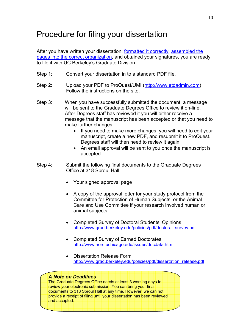# <span id="page-9-0"></span>Procedure for filing your dissertation

After you have written your dissertation, [formatted it correctly,](#page-3-0) [assembled the](#page-4-0)  [pages into the correct organization](#page-4-0), and obtained your signatures, you are ready to file it with UC Berkeley's Graduate Division.

- Step 1: Convert your dissertation in to a standard PDF file.
- Step 2: Upload your PDF to ProQuest/UMI [\(http://www.etdadmin.com\)](http://www.etdadmin.com/) Follow the instructions on the site.
- Step 3: When you have successfully submitted the document, a message will be sent to the Graduate Degrees Office to review it on-line. After Degrees staff has reviewed it you will either receive a message that the manuscript has been accepted or that you need to make further changes.
	- If you need to make more changes, you will need to edit your manuscript, create a new PDF, and resubmit it to ProQuest. Degrees staff will then need to review it again.
	- An email approval will be sent to you once the manuscript is accepted.
- Step 4: Submit the following final documents to the Graduate Degrees Office at 318 Sproul Hall.
	- Your signed approval page
	- A copy of the approval letter for your study protocol from the Committee for Protection of Human Subjects, or the Animal Care and Use Committee if your research involved human or animal subjects.
	- Completed Survey of Doctoral Students' Opinions [http://www.grad.berkeley.edu/policies/pdf/doctoral\\_survey.pdf](http://www.grad.berkeley.edu/policies/pdf/doctoral_survey.pdf)
	- Completed Survey of Earned Doctorates <http://www.norc.uchicago.edu/issues/docdata.htm>
	- Dissertation Release Form [http://www.grad.berkeley.edu/policies/pdf/dissertation\\_release.pdf](http://www.grad.berkeley.edu/policies/pdf/dissertation_release.pdf)

#### *A Note on Deadlines*

The Graduate Degrees Office needs at least 3 working days to review your electronic submission. You can bring your final documents to 318 Sproul Hall at any time. However, we can not provide a receipt of filing until your dissertation has been reviewed and accepted.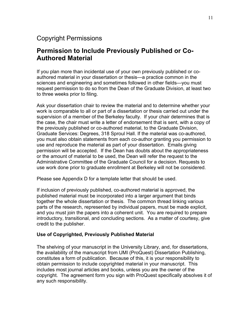## <span id="page-10-0"></span>Copyright Permissions

## **Permission to Include Previously Published or Co-Authored Material**

If you plan more than incidental use of your own previously published or coauthored material in your dissertation or thesis—a practice common in the sciences and engineering and sometimes followed in other fields—you must request permission to do so from the Dean of the Graduate Division, at least two to three weeks prior to filing.

Ask your dissertation chair to review the material and to determine whether your work is comparable to all or part of a dissertation or thesis carried out under the supervision of a member of the Berkeley faculty. If your chair determines that is the case, the chair must write a letter of endorsement that is sent, with a copy of the previously published or co-authored material, to the Graduate Division, Graduate Services: Degrees, 318 Sproul Hall. If the material was co-authored, you must also obtain statements from each co-author granting you permission to use and reproduce the material as part of your dissertation. Emails giving permission will be accepted. If the Dean has doubts about the appropriateness or the amount of material to be used, the Dean will refer the request to the Administrative Committee of the Graduate Council for a decision. Requests to use work done prior to graduate enrollment at Berkeley will not be considered.

Please see Appendix D for a template letter that should be used.

If inclusion of previously published, co-authored material is approved, the published material must be incorporated into a larger argument that binds together the whole dissertation or thesis. The common thread linking various parts of the research, represented by individual papers, must be made explicit, and you must join the papers into a coherent unit. You are required to prepare introductory, transitional, and concluding sections. As a matter of courtesy, give credit to the publisher.

#### **Use of Copyrighted, Previously Published Material**

The shelving of your manuscript in the University Library, and, for dissertations, the availability of the manuscript from UMI (ProQuest) Dissertation Publishing, constitutes a form of publication. Because of this, it is your responsibility to obtain permission to include copyrighted material in your manuscript. This includes most journal articles and books, unless you are the owner of the copyright. The agreement form you sign with ProQuest specifically absolves it of any such responsibility.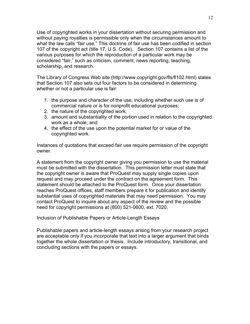Use of copyrighted works in your dissertation without securing permission and without paying royalties is permissible only when the circumstances amount to what the law calls "fair use." This doctrine of fair use has been codified in section 107 of the copyright act [\(title 17, U.S. Code](http://www.copyright.gov/title17/92chap1.html#107)). Section 107 contains a list of the various purposes for which the reproduction of a particular work may be considered "fair," such as criticism, comment, news reporting, teaching, scholarship, and research.

The Library of Congress Web site [\(http://www.copyright.gov/fls/fl102.html](http://www.copyright.gov/fls/fl102.html)) states that Section 107 also sets out four factors to be considered in determining whether or not a particular use is fair:

- 1. the purpose and character of the use, including whether such use is of commercial nature or is for nonprofit educational purposes;
- 2. the nature of the copyrighted work;
- 3. amount and substantiality of the portion used in relation to the copyrighted work as a whole; and
- 4. the effect of the use upon the potential market for or value of the copyrighted work.

Instances of quotations that exceed fair use require permission of the copyright owner.

A statement from the copyright owner giving you permission to use the material must be submitted with the dissertation. This permission letter must state that the copyright owner is aware that ProQuest may supply single copies upon request and may proceed under the contract on the agreement form. This statement should be attached to the ProQuest form. Once your dissertation reaches ProQuest offices, staff members prepare it for publication and identify substantial uses of copyrighted materials that may need permission. You may contact ProQuest to inquire about any aspect of the review and the possible need for copyright permissions at (800) 521-0600, ext. 7020.

Inclusion of Publishable Papers or Article-Length Essays

Publishable papers and article-length essays arising from your research project are acceptable only if you incorporate that text into a larger argument that binds together the whole dissertation or thesis. Include introductory, transitional, and concluding sections with the papers or essays.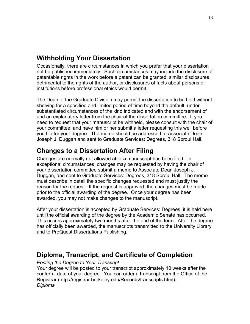## <span id="page-12-0"></span>**Withholding Your Dissertation**

Occasionally, there are circumstances in which you prefer that your dissertation not be published immediately. Such circumstances may include the disclosure of patentable rights in the work before a patent can be granted, similar disclosures detrimental to the rights of the author, or disclosures of facts about persons or institutions before professional ethics would permit.

The Dean of the Graduate Division may permit the dissertation to be held without shelving for a specified and limited period of time beyond the default, under substantiated circumstances of the kind indicated and with the endorsement of and an explanatory letter from the chair of the dissertation committee. If you need to request that your manuscript be withheld, please consult with the chair of your committee, and have him or her submit a letter requesting this well before you file for your degree. The memo should be addressed to Associate Dean Joseph J. Duggan and sent to Graduate Services: Degrees, 318 Sproul Hall.

## **Changes to a Dissertation After Filing**

Changes are normally not allowed after a manuscript has been filed. In exceptional circumstances, changes may be requested by having the chair of your dissertation committee submit a memo to Associate Dean Joseph J. Duggan, and sent to Graduate Services: Degrees, 318 Sproul Hall. The memo must describe in detail the specific changes requested and must justify the reason for the request. If the request is approved, the changes must be made prior to the official awarding of the degree. Once your degree has been awarded, you may not make changes to the manuscript.

After your dissertation is accepted by Graduate Services: Degrees, it is held here until the official awarding of the degree by the Academic Senate has occurred. This occurs approximately two months after the end of the term. After the degree has officially been awarded, the manuscripts transmitted to the University Library and to ProQuest Dissertations Publishing.

## **Diploma, Transcript, and Certificate of Completion**

*Posting the Degree to Your Transcript* 

Your degree will be posted to your transcript approximately 10 weeks after the conferral date of your degree. You can order a transcript from the Office of the Registrar [\(http://registrar.berkeley.edu/Records/transcripts.html\)](http://registrar.berkeley.edu/Records/transcripts.html). *Diploma*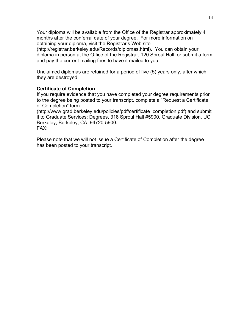Your diploma will be available from the Office of the Registrar approximately 4 months after the conferral date of your degree. For more information on obtaining your diploma, visit the Registrar's Web site (<http://registrar.berkeley.edu/Records/diplomas.html>). You can obtain your diploma in person at the Office of the Registrar, 120 Sproul Hall, or submit a form and pay the current mailing fees to have it mailed to you.

Unclaimed diplomas are retained for a period of five (5) years only, after which they are destroyed.

#### **Certificate of Completion**

If you require evidence that you have completed your degree requirements prior to the degree being posted to your transcript, complete a "Request a Certificate of Completion" form

([http://www.grad.berkeley.edu/policies/pdf/certificate\\_completion.pdf](http://www.grad.berkeley.edu/policies/pdf/certificate_completion.pdf)) and submit it to Graduate Services: Degrees, 318 Sproul Hall #5900, Graduate Division, UC Berkeley, Berkeley, CA 94720-5900. FAX:

Please note that we will not issue a Certificate of Completion after the degree has been posted to your transcript.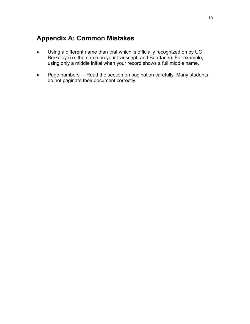## <span id="page-14-0"></span>**Appendix A: Common Mistakes**

- Using a different name than that which is officially recognized on by UC Berkeley (i.e. the name on your transcript, and Bearfacts). For example, using only a middle initial when your record shows a full middle name.
- Page numbers Read the section on pagination carefully. Many students do not paginate their document correctly.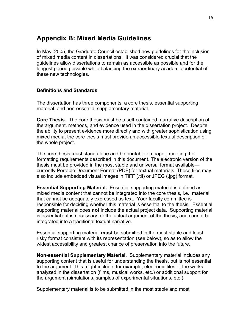## <span id="page-15-0"></span>**Appendix B: Mixed Media Guidelines**

In May, 2005, the Graduate Council established new guidelines for the inclusion of mixed media content in dissertations. It was considered crucial that the guidelines allow dissertations to remain as accessible as possible and for the longest period possible while balancing the extraordinary academic potential of these new technologies.

#### **Definitions and Standards**

The dissertation has three components: a core thesis, essential supporting material, and non-essential supplementary material.

**Core Thesis.** The core thesis must be a self-contained, narrative description of the argument, methods, and evidence used in the dissertation project. Despite the ability to present evidence more directly and with greater sophistication using mixed media, the core thesis must provide an accessible textual description of the whole project.

The core thesis must stand alone and be printable on paper, meeting the formatting requirements described in this document. The electronic version of the thesis must be provided in the most stable and universal format available currently Portable Document Format (PDF) for textual materials. These files may also include embedded visual images in TIFF (.tif) or JPEG (.jpg) format.

**Essential Supporting Material.** Essential supporting material is defined as mixed media content that cannot be integrated into the core thesis, i.e., material that cannot be adequately expressed as text. Your faculty committee is responsible for deciding whether this material is essential to the thesis. Essential supporting material does **not** include the actual project data. Supporting material is essential if it is necessary for the actual argument of the thesis, and cannot be integrated into a traditional textual narrative.

Essential supporting material **must** be submitted in the most stable and least risky format consistent with its representation (see below), so as to allow the widest accessibility and greatest chance of preservation into the future.

**Non-essential Supplementary Material.** Supplementary material includes any supporting content that is useful for understanding the thesis, but is not essential to the argument. This might include, for example, electronic files of the works analyzed in the dissertation (films, musical works, etc.) or additional support for the argument (simulations, samples of experimental situations, etc.).

Supplementary material is to be submitted in the most stable and most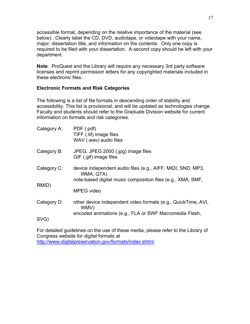accessible format, depending on the relative importance of the material (see below). Clearly label the CD, DVD, audiotape, or videotape with your name, major, dissertation title, and information on the contents. Only one copy is required to be filed with your dissertation. A second copy should be left with your department.

**Note**. ProQuest and the Library will require any necessary 3rd party software licenses and reprint permission letters for any copyrighted materials included in these electronic files.

#### **Electronic Formats and Risk Categories**

The following is a list of file formats in descending order of stability and accessibility. This list is provisional, and will be updated as technologies change. Faculty and students should refer to the Graduate Division website for current information on formats and risk categories.

| Category A: | PDF (.pdf)<br>TIFF (.tif) image files<br>WAV (.wav) audio files                                                                         |
|-------------|-----------------------------------------------------------------------------------------------------------------------------------------|
| Category B: | JPEG, JPEG 2000 (.jpg) image files<br>GIF (.gif) image files                                                                            |
| Category C: | device independent audio files (e.g., AIFF, MIDI, SND, MP3,<br>WMA, QTA)<br>note-based digital music composition files (e.g., XMA, SMF, |
| RMID)       | MPEG video                                                                                                                              |
| Category D: | other device independent video formats (e.g., QuickTime, AVI,<br>WMV)                                                                   |
| SVG)        | encoded animations (e.g., FLA or SWF Macromedia Flash,                                                                                  |

For detailed guidelines on the use of these media, please refer to the Library of Congress website for digital formats at [http://www.digitalpreservation.gov/formats/index.shtml.](http://www.digitalpreservation.gov/formats/index.shtml)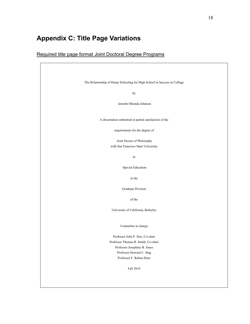# <span id="page-17-0"></span>**Appendix C: Title Page Variations**

## Required title page format Joint Doctoral Degree Programs

| The Relationship of Home Schooling for High School to Success in College |
|--------------------------------------------------------------------------|
| by                                                                       |
| Jennifer Rhonda Johnson                                                  |
| A dissertation submitted in partial satisfaction of the                  |
| requirements for the degree of                                           |
| Joint Doctor of Philosophy                                               |
| with San Francisco State University                                      |
|                                                                          |
| $\operatorname{in}$                                                      |
| Special Education                                                        |
| in the                                                                   |
| Graduate Division                                                        |
| of the                                                                   |
| University of California, Berkeley                                       |
| Committee in charge:                                                     |
| Professor John P. Doe, Co-chair                                          |
| Professor Thomas R. Smith, Co-chair                                      |
| Professor Josephine B. Jones                                             |
| Professor Howard C. Stag                                                 |
| Professor F. Robert Deer                                                 |
| Fall 2010                                                                |
|                                                                          |
|                                                                          |
|                                                                          |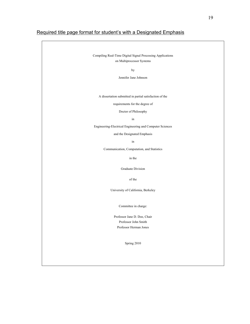#### Required title page format for student's with a Designated Emphasis

Compiling Real-Time Digital Signal Processing Applications on Multiprocessor Systems

by

Jennifer Jane Johnson

A dissertation submitted in partial satisfaction of the

requirements for the degree of

Doctor of Philosophy

in

Engineering-Electrical Engineering and Computer Sciences

and the Designated Emphasis

in

Communication, Computation, and Statistics

in the

Graduate Division

of the

University of California, Berkeley

Committee in charge:

Professor Jane D. Doe, Chair Professor John Smith Professor Herman Jones

Spring 2010